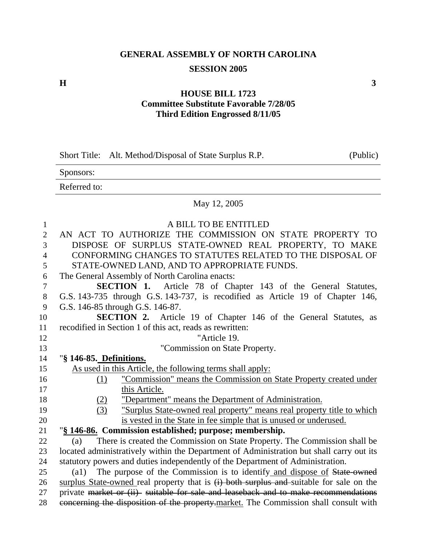## **GENERAL ASSEMBLY OF NORTH CAROLINA SESSION 2005**

**H**  $\overline{\phantom{a}}$  3

#### **HOUSE BILL 1723 Committee Substitute Favorable 7/28/05 Third Edition Engrossed 8/11/05**

| Short Title: Alt. Method/Disposal of State Surplus R.P. | (Public) |
|---------------------------------------------------------|----------|
|---------------------------------------------------------|----------|

Sponsors:

Referred to:

### May 12, 2005

| $\mathbf{1}$   | A BILL TO BE ENTITLED                                                                                                                                                      |
|----------------|----------------------------------------------------------------------------------------------------------------------------------------------------------------------------|
| $\overline{2}$ | AN ACT TO AUTHORIZE THE COMMISSION ON STATE PROPERTY TO                                                                                                                    |
| 3              | DISPOSE OF SURPLUS STATE-OWNED REAL PROPERTY, TO MAKE                                                                                                                      |
| $\overline{4}$ | CONFORMING CHANGES TO STATUTES RELATED TO THE DISPOSAL OF                                                                                                                  |
| 5              | STATE-OWNED LAND, AND TO APPROPRIATE FUNDS.                                                                                                                                |
| 6              | The General Assembly of North Carolina enacts:                                                                                                                             |
| $\overline{7}$ | <b>SECTION 1.</b> Article 78 of Chapter 143 of the General Statutes,                                                                                                       |
| $\, 8$         | G.S. 143-735 through G.S. 143-737, is recodified as Article 19 of Chapter 146,                                                                                             |
| 9              | G.S. 146-85 through G.S. 146-87.                                                                                                                                           |
| 10             | <b>SECTION 2.</b> Article 19 of Chapter 146 of the General Statutes, as                                                                                                    |
| 11             | recodified in Section 1 of this act, reads as rewritten:                                                                                                                   |
| 12             | "Article 19.                                                                                                                                                               |
| 13             | "Commission on State Property.                                                                                                                                             |
| 14             | "§ 146-85. Definitions.                                                                                                                                                    |
| 15             | As used in this Article, the following terms shall apply:                                                                                                                  |
| 16             | "Commission" means the Commission on State Property created under<br>(1)                                                                                                   |
| 17             | this Article.                                                                                                                                                              |
| 18             | "Department" means the Department of Administration.<br>(2)                                                                                                                |
| 19             | "Surplus State-owned real property" means real property title to which<br>(3)                                                                                              |
| 20             |                                                                                                                                                                            |
|                | is vested in the State in fee simple that is unused or underused.                                                                                                          |
| 21             | "§ 146-86. Commission established; purpose; membership.                                                                                                                    |
| 22             | There is created the Commission on State Property. The Commission shall be<br>(a)                                                                                          |
| 23             | located administratively within the Department of Administration but shall carry out its                                                                                   |
| 24             | statutory powers and duties independently of the Department of Administration.                                                                                             |
| 25             | The purpose of the Commission is to identify and dispose of State owned<br>$\left( \text{a1}\right)$                                                                       |
| 26             | surplus State-owned real property that is (i) both surplus and suitable for sale on the                                                                                    |
| 27<br>28       | private market or (ii) suitable for sale and leaseback and to make recommendations<br>concerning the disposition of the property-market. The Commission shall consult with |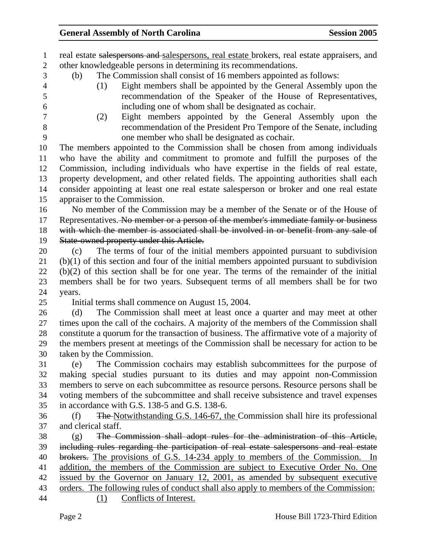1 real estate salespersons and salespersons, real estate brokers, real estate appraisers, and 2 other knowledgeable persons in determining its recommendations.

- 3 (b) The Commission shall consist of 16 members appointed as follows:
- 

4 (1) Eight members shall be appointed by the General Assembly upon the 5 recommendation of the Speaker of the House of Representatives, 6 including one of whom shall be designated as cochair.

7 (2) Eight members appointed by the General Assembly upon the 8 recommendation of the President Pro Tempore of the Senate, including 9 one member who shall be designated as cochair.

10 The members appointed to the Commission shall be chosen from among individuals 11 who have the ability and commitment to promote and fulfill the purposes of the 12 Commission, including individuals who have expertise in the fields of real estate, 13 property development, and other related fields. The appointing authorities shall each 14 consider appointing at least one real estate salesperson or broker and one real estate 15 appraiser to the Commission.

16 No member of the Commission may be a member of the Senate or of the House of 17 Representatives. No member or a person of the member's immediate family or business 18 with which the member is associated shall be involved in or benefit from any sale of 19 State-owned property under this Article.

20 (c) The terms of four of the initial members appointed pursuant to subdivision 21 (b)(1) of this section and four of the initial members appointed pursuant to subdivision 22 (b)(2) of this section shall be for one year. The terms of the remainder of the initial 23 members shall be for two years. Subsequent terms of all members shall be for two 24 years.

25 Initial terms shall commence on August 15, 2004.

26 (d) The Commission shall meet at least once a quarter and may meet at other 27 times upon the call of the cochairs. A majority of the members of the Commission shall 28 constitute a quorum for the transaction of business. The affirmative vote of a majority of 29 the members present at meetings of the Commission shall be necessary for action to be 30 taken by the Commission.

31 (e) The Commission cochairs may establish subcommittees for the purpose of 32 making special studies pursuant to its duties and may appoint non-Commission 33 members to serve on each subcommittee as resource persons. Resource persons shall be 34 voting members of the subcommittee and shall receive subsistence and travel expenses 35 in accordance with G.S. 138-5 and G.S. 138-6.

36 (f) The Notwithstanding G.S. 146-67, the Commission shall hire its professional 37 and clerical staff.

38 (g) The Commission shall adopt rules for the administration of this Article, 39 including rules regarding the participation of real estate salespersons and real estate 40 brokers. The provisions of G.S. 14-234 apply to members of the Commission. In 41 addition, the members of the Commission are subject to Executive Order No. One 42 issued by the Governor on January 12, 2001, as amended by subsequent executive 43 orders. The following rules of conduct shall also apply to members of the Commission: 44 (1) Conflicts of Interest.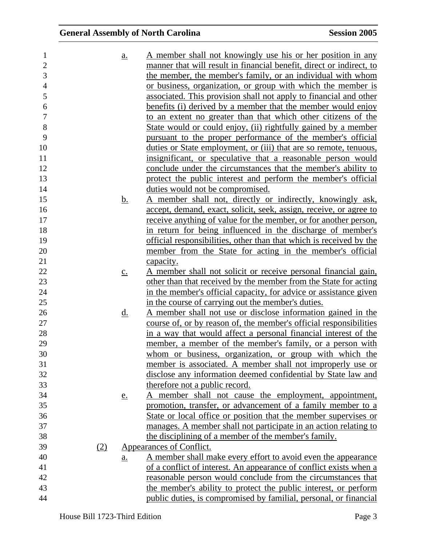| 1              |     | $\underline{a}$ . | A member shall not knowingly use his or her position in any             |
|----------------|-----|-------------------|-------------------------------------------------------------------------|
| $\overline{2}$ |     |                   | manner that will result in financial benefit, direct or indirect, to    |
| 3              |     |                   | the member, the member's family, or an individual with whom             |
| $\overline{4}$ |     |                   | or business, organization, or group with which the member is            |
| 5              |     |                   | associated. This provision shall not apply to financial and other       |
| 6              |     |                   | benefits (i) derived by a member that the member would enjoy            |
| $\tau$         |     |                   | to an extent no greater than that which other citizens of the           |
| $8\,$          |     |                   | State would or could enjoy, (ii) rightfully gained by a member          |
| 9              |     |                   | pursuant to the proper performance of the member's official             |
| 10             |     |                   | duties or State employment, or (iii) that are so remote, tenuous,       |
| 11             |     |                   | insignificant, or speculative that a reasonable person would            |
| 12             |     |                   | conclude under the circumstances that the member's ability to           |
| 13             |     |                   | protect the public interest and perform the member's official           |
| 14             |     |                   | duties would not be compromised.                                        |
| 15             |     | <u>b.</u>         | A member shall not, directly or indirectly, knowingly ask,              |
| 16             |     |                   | accept, demand, exact, solicit, seek, assign, receive, or agree to      |
| 17             |     |                   | <u>receive anything of value for the member, or for another person,</u> |
| 18             |     |                   | in return for being influenced in the discharge of member's             |
| 19             |     |                   | official responsibilities, other than that which is received by the     |
| 20             |     |                   | member from the State for acting in the member's official               |
| 21             |     |                   | capacity.                                                               |
| 22             |     | $\underline{c}$ . | A member shall not solicit or receive personal financial gain,          |
| 23             |     |                   | other than that received by the member from the State for acting        |
| 24             |     |                   | in the member's official capacity, for advice or assistance given       |
| 25             |     |                   | in the course of carrying out the member's duties.                      |
| 26             |     | <u>d.</u>         | A member shall not use or disclose information gained in the            |
| 27             |     |                   | course of, or by reason of, the member's official responsibilities      |
| 28             |     |                   | in a way that would affect a personal financial interest of the         |
| 29             |     |                   | member, a member of the member's family, or a person with               |
| 30             |     |                   | whom or business, organization, or group with which the                 |
| 31             |     |                   | member is associated. A member shall not improperly use or              |
| 32             |     |                   | disclose any information deemed confidential by State law and           |
| 33             |     |                   | therefore not a public record.                                          |
| 34             |     | <u>e.</u>         | member shall not cause the employment, appointment,                     |
| 35             |     |                   | promotion, transfer, or advancement of a family member to a             |
| 36             |     |                   | State or local office or position that the member supervises or         |
| 37             |     |                   | manages. A member shall not participate in an action relating to        |
| 38             |     |                   | the disciplining of a member of the member's family.                    |
| 39             | (2) |                   | Appearances of Conflict.                                                |
| 40             |     | <u>a.</u>         | A member shall make every effort to avoid even the appearance           |
| 41             |     |                   | of a conflict of interest. An appearance of conflict exists when a      |
| 42             |     |                   | reasonable person would conclude from the circumstances that            |
| 43             |     |                   | the member's ability to protect the public interest, or perform         |
| 44             |     |                   | public duties, is compromised by familial, personal, or financial       |
|                |     |                   |                                                                         |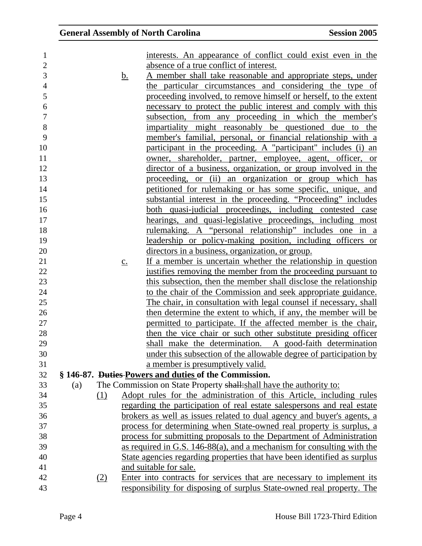| 1              |            |                   | interests. An appearance of conflict could exist even in the             |
|----------------|------------|-------------------|--------------------------------------------------------------------------|
| $\overline{2}$ |            |                   | absence of a true conflict of interest.                                  |
| 3              |            | <u>b.</u>         | A member shall take reasonable and appropriate steps, under              |
| $\overline{4}$ |            |                   | the particular circumstances and considering the type of                 |
| 5              |            |                   | proceeding involved, to remove himself or herself, to the extent         |
| 6              |            |                   | necessary to protect the public interest and comply with this            |
| $\tau$         |            |                   | subsection, from any proceeding in which the member's                    |
| 8              |            |                   | impartiality might reasonably be questioned due to the                   |
| 9              |            |                   | member's familial, personal, or financial relationship with a            |
| 10             |            |                   | participant in the proceeding. A "participant" includes (i) an           |
| 11             |            |                   | owner, shareholder, partner, employee, agent, officer, or                |
| 12             |            |                   | director of a business, organization, or group involved in the           |
| 13             |            |                   | proceeding, or (ii) an organization or group which has                   |
| 14             |            |                   | petitioned for rulemaking or has some specific, unique, and              |
| 15             |            |                   | substantial interest in the proceeding. "Proceeding" includes            |
| 16             |            |                   | both quasi-judicial proceedings, including contested case                |
| 17             |            |                   | hearings, and quasi-legislative proceedings, including most              |
| 18             |            |                   | <u>rulemaking. A "personal relationship" includes one in a</u>           |
| 19             |            |                   | leadership or policy-making position, including officers or              |
| 20             |            |                   | directors in a business, organization, or group.                         |
| 21             |            | $\underline{c}$ . | If a member is uncertain whether the relationship in question            |
| 22             |            |                   | justifies removing the member from the proceeding pursuant to            |
| 23             |            |                   | this subsection, then the member shall disclose the relationship         |
| 24             |            |                   | to the chair of the Commission and seek appropriate guidance.            |
| 25             |            |                   | The chair, in consultation with legal counsel if necessary, shall        |
| 26             |            |                   | then determine the extent to which, if any, the member will be           |
| 27             |            |                   | permitted to participate. If the affected member is the chair,           |
| 28             |            |                   | then the vice chair or such other substitute presiding officer           |
| 29             |            |                   | shall make the determination. A good-faith determination                 |
| 30             |            |                   | under this subsection of the allowable degree of participation by        |
| 31             |            |                   | a member is presumptively valid.                                         |
| 32             |            |                   | § 146-87. Duties-Powers and duties of the Commission.                    |
| 33             | (a)        |                   | The Commission on State Property shall: shall have the authority to:     |
| 34             | <u>(1)</u> |                   | Adopt rules for the administration of this Article, including rules      |
| 35             |            |                   | regarding the participation of real estate salespersons and real estate  |
| 36             |            |                   | brokers as well as issues related to dual agency and buyer's agents, a   |
| 37             |            |                   | process for determining when State-owned real property is surplus, a     |
| 38             |            |                   | process for submitting proposals to the Department of Administration     |
| 39             |            |                   | as required in G.S. 146-88(a), and a mechanism for consulting with the   |
| 40             |            |                   | State agencies regarding properties that have been identified as surplus |
| 41             |            |                   | and suitable for sale.                                                   |
| 42             | (2)        |                   | Enter into contracts for services that are necessary to implement its    |
| 43             |            |                   | responsibility for disposing of surplus State-owned real property. The   |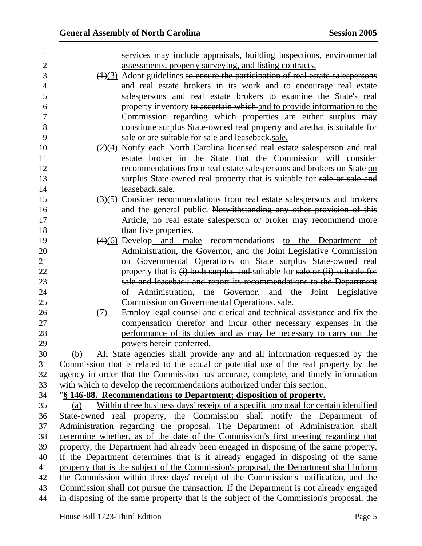| services may include appraisals, building inspections, environmental                                |
|-----------------------------------------------------------------------------------------------------|
| assessments, property surveying, and listing contracts.                                             |
| $\left(\frac{1}{3}\right)$ Adopt guidelines to ensure the participation of real estate salespersons |
| and real estate brokers in its work and to encourage real estate                                    |
| salespersons and real estate brokers to examine the State's real                                    |
| property inventory to ascertain which and to provide information to the                             |
| Commission regarding which properties are either surplus may                                        |
| constitute surplus State-owned real property and arethat is suitable for                            |
| sale or are suitable for sale and leaseback.sale.                                                   |
| $\left(\frac{2}{4}\right)$ Notify each North Carolina licensed real estate salesperson and real     |
| estate broker in the State that the Commission will consider                                        |
| recommendations from real estate salespersons and brokers on State on                               |
| surplus State-owned real property that is suitable for sale or sale and                             |
| leaseback.sale.                                                                                     |
| $\left(\frac{3}{5}\right)$ Consider recommendations from real estate salespersons and brokers       |
| and the general public. Notwithstanding any other provision of this                                 |
| Article, no real estate salesperson or broker may recommend more                                    |
| than five properties.                                                                               |
| $\left(4\right)$ (6) Develop and make recommendations to the Department of                          |
| Administration, the Governor, and the Joint Legislative Commission                                  |
| on Governmental Operations on State surplus State-owned real                                        |
| property that is $(i)$ both surplus and suitable for sale or $(ii)$ suitable for                    |
| sale and leaseback and report its recommendations to the Department                                 |
| of Administration, the Governor, and the Joint Legislative                                          |
| Commission on Governmental Operations. sale.                                                        |
| Employ legal counsel and clerical and technical assistance and fix the                              |
| compensation therefor and incur other necessary expenses in the                                     |
| performance of its duties and as may be necessary to carry out the                                  |
| powers herein conferred.                                                                            |
| All State agencies shall provide any and all information requested by the                           |
| Commission that is related to the actual or potential use of the real property by the               |
| agency in order that the Commission has accurate, complete, and timely information                  |
| with which to develop the recommendations authorized under this section.                            |
| "§ 146-88. Recommendations to Department; disposition of property.                                  |
| Within three business days' receipt of a specific proposal for certain identified                   |
| State-owned real property, the Commission shall notify the Department of                            |
| Administration regarding the proposal. The Department of Administration shall                       |
| determine whether, as of the date of the Commission's first meeting regarding that                  |
| property, the Department had already been engaged in disposing of the same property.                |
| If the Department determines that is it already engaged in disposing of the same                    |
| property that is the subject of the Commission's proposal, the Department shall inform              |
| the Commission within three days' receipt of the Commission's notification, and the                 |
| Commission shall not pursue the transaction. If the Department is not already engaged               |
| in disposing of the same property that is the subject of the Commission's proposal, the             |
| (7)<br>(b)<br>(a)                                                                                   |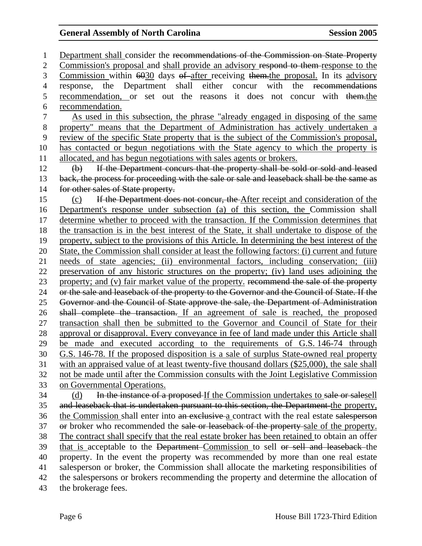1 Department shall consider the recommendations of the Commission on State Property 2 Commission's proposal and shall provide an advisory respond to them response to the 3 Commission within 6030 days of after receiving them. the proposal. In its advisory 4 response, the Department shall either concur with the recommendations 5 recommendation, or set out the reasons it does not concur with them.the 6 recommendation. 7 As used in this subsection, the phrase "already engaged in disposing of the same 8 property" means that the Department of Administration has actively undertaken a 9 review of the specific State property that is the subject of the Commission's proposal, 10 has contacted or begun negotiations with the State agency to which the property is 11 allocated, and has begun negotiations with sales agents or brokers. 12 (b) If the Department concurs that the property shall be sold or sold and leased 13 back, the process for proceeding with the sale or sale and leaseback shall be the same as 14 for other sales of State property. 15 (c) If the Department does not concur, the After receipt and consideration of the 16 Department's response under subsection (a) of this section, the Commission shall 17 determine whether to proceed with the transaction. If the Commission determines that 18 the transaction is in the best interest of the State, it shall undertake to dispose of the 19 property, subject to the provisions of this Article. In determining the best interest of the 20 State, the Commission shall consider at least the following factors: (i) current and future 21 needs of state agencies; (ii) environmental factors, including conservation; (iii) 22 preservation of any historic structures on the property; (iv) land uses adjoining the 23 property; and (v) fair market value of the property. recommend the sale of the property 24 or the sale and leaseback of the property to the Governor and the Council of State. If the 25 Governor and the Council of State approve the sale, the Department of Administration 26 shall complete the transaction. If an agreement of sale is reached, the proposed 27 transaction shall then be submitted to the Governor and Council of State for their 28 approval or disapproval. Every conveyance in fee of land made under this Article shall 29 be made and executed according to the requirements of G.S. 146-74 through 30 G.S. 146-78. If the proposed disposition is a sale of surplus State-owned real property 31 with an appraised value of at least twenty-five thousand dollars (\$25,000), the sale shall 32 not be made until after the Commission consults with the Joint Legislative Commission 33 on Governmental Operations. 34 (d) In the instance of a proposed If the Commission undertakes to sale or salesell 35 and leaseback that is undertaken pursuant to this section, the Department the property, 36 the Commission shall enter into an exclusive a contract with the real estate salesperson 37 or broker who recommended the sale or leaseback of the property-sale of the property. 38 The contract shall specify that the real estate broker has been retained to obtain an offer 39 that is acceptable to the Department Commission to sell or sell and leaseback the 40 property. In the event the property was recommended by more than one real estate 41 salesperson or broker, the Commission shall allocate the marketing responsibilities of 42 the salespersons or brokers recommending the property and determine the allocation of 43 the brokerage fees.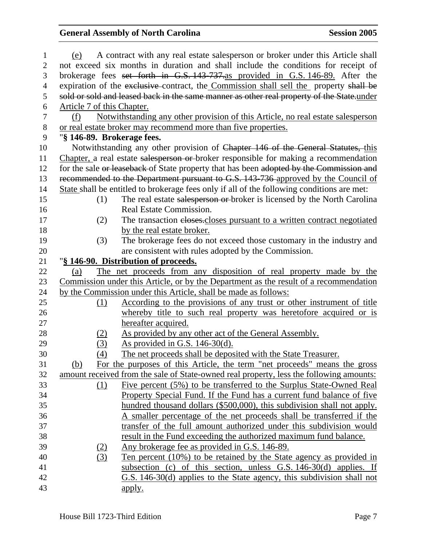| $\mathbf{1}$   | (e)                        | A contract with any real estate salesperson or broker under this Article shall                                                                    |
|----------------|----------------------------|---------------------------------------------------------------------------------------------------------------------------------------------------|
| 2              |                            | not exceed six months in duration and shall include the conditions for receipt of                                                                 |
| 3              |                            | brokerage fees set forth in G.S. 143-737-as provided in G.S. 146-89. After the                                                                    |
| $\overline{4}$ |                            | expiration of the exclusive contract, the Commission shall sell the property shall be                                                             |
| 5              |                            | sold or sold and leased back in the same manner as other real property of the State-under                                                         |
| 6              | Article 7 of this Chapter. |                                                                                                                                                   |
| $\tau$         | (f)                        | Notwithstanding any other provision of this Article, no real estate salesperson                                                                   |
| $8\,$          |                            | or real estate broker may recommend more than five properties.                                                                                    |
| 9              | "§ 146-89. Brokerage fees. |                                                                                                                                                   |
| 10             |                            | Notwithstanding any other provision of Chapter 146 of the General Statutes, this                                                                  |
| 11             |                            | Chapter, a real estate salesperson or broker responsible for making a recommendation                                                              |
| 12             |                            | for the sale or leaseback of State property that has been adopted by the Commission and                                                           |
| 13             |                            | recommended to the Department pursuant to G.S. 143-736 approved by the Council of                                                                 |
| 14             |                            | State shall be entitled to brokerage fees only if all of the following conditions are met:                                                        |
| 15             | (1)                        | The real estate salesperson or broker is licensed by the North Carolina                                                                           |
| 16             |                            | Real Estate Commission.                                                                                                                           |
| 17             | (2)                        | The transaction eloses-closes pursuant to a written contract negotiated                                                                           |
| 18             |                            | by the real estate broker.                                                                                                                        |
| 19             | (3)                        | The brokerage fees do not exceed those customary in the industry and                                                                              |
| 20             |                            | are consistent with rules adopted by the Commission.                                                                                              |
| 21             |                            | "§ 146-90. Distribution of proceeds.                                                                                                              |
| 22             | (a)                        | The net proceeds from any disposition of real property made by the                                                                                |
| 23             |                            | Commission under this Article, or by the Department as the result of a recommendation                                                             |
| 24             |                            | by the Commission under this Article, shall be made as follows:                                                                                   |
| 25             | (1)                        | <u>According to the provisions of any trust or other instrument of title</u>                                                                      |
| 26             |                            | whereby title to such real property was heretofore acquired or is                                                                                 |
| 27             |                            | hereafter acquired.                                                                                                                               |
| 28             | <u>(2)</u>                 | As provided by any other act of the General Assembly.                                                                                             |
| 29             | (3)                        | <u>As provided in G.S. 146-30(d).</u>                                                                                                             |
| 30             | (4)                        | The net proceeds shall be deposited with the State Treasurer.                                                                                     |
| 31             | (b)                        | For the purposes of this Article, the term "net proceeds" means the gross                                                                         |
| 32             |                            | amount received from the sale of State-owned real property, less the following amounts:                                                           |
| 33             | (1)                        | Five percent (5%) to be transferred to the Surplus State-Owned Real                                                                               |
| 34             |                            | Property Special Fund. If the Fund has a current fund balance of five                                                                             |
| 35             |                            | hundred thousand dollars (\$500,000), this subdivision shall not apply.                                                                           |
| 36             |                            | A smaller percentage of the net proceeds shall be transferred if the                                                                              |
| 37             |                            | transfer of the full amount authorized under this subdivision would                                                                               |
| 38<br>39       |                            | result in the Fund exceeding the authorized maximum fund balance.<br>Any brokerage fee as provided in G.S. 146-89.                                |
| 40             | <u>(2)</u><br>(3)          |                                                                                                                                                   |
| 41             |                            | <u>Ten percent (10%) to be retained by the State agency as provided in</u><br>subsection (c) of this section, unless $G.S. 146-30(d)$ applies. If |
| 42             |                            | G.S. 146-30(d) applies to the State agency, this subdivision shall not                                                                            |
| 43             |                            | <u>apply.</u>                                                                                                                                     |
|                |                            |                                                                                                                                                   |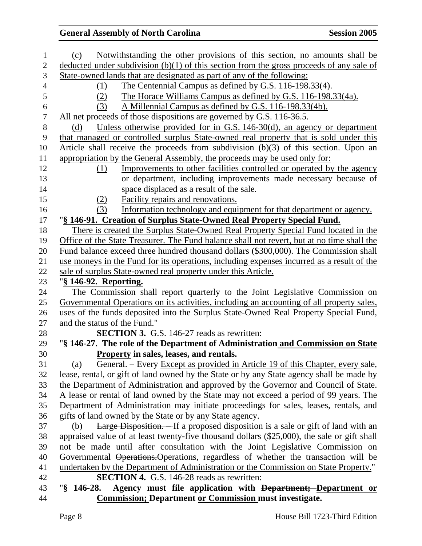| $\mathbf{1}$   | Notwithstanding the other provisions of this section, no amounts shall be<br>(c)            |
|----------------|---------------------------------------------------------------------------------------------|
| $\mathbf{2}$   | deducted under subdivision $(b)(1)$ of this section from the gross proceeds of any sale of  |
| 3              | State-owned lands that are designated as part of any of the following:                      |
| $\overline{4}$ | The Centennial Campus as defined by G.S. 116-198.33(4).<br>(1)                              |
| $\mathfrak{S}$ | The Horace Williams Campus as defined by G.S. 116-198.33(4a).<br>(2)                        |
| $\sqrt{6}$     | A Millennial Campus as defined by G.S. 116-198.33(4b).<br>(3)                               |
| $\tau$         | All net proceeds of those dispositions are governed by G.S. 116-36.5.                       |
| $8\,$          | Unless otherwise provided for in G.S. $146-30(d)$ , an agency or department<br>(d)          |
| 9              | that managed or controlled surplus State-owned real property that is sold under this        |
| 10             | Article shall receive the proceeds from subdivision (b)(3) of this section. Upon an         |
| 11             | appropriation by the General Assembly, the proceeds may be used only for:                   |
| 12             | Improvements to other facilities controlled or operated by the agency<br>(1)                |
| 13             | or department, including improvements made necessary because of                             |
| 14             | space displaced as a result of the sale.                                                    |
| 15             | Facility repairs and renovations.<br>(2)                                                    |
| 16             | Information technology and equipment for that department or agency.<br>(3)                  |
| 17             | "§ 146-91. Creation of Surplus State-Owned Real Property Special Fund.                      |
| 18             | There is created the Surplus State-Owned Real Property Special Fund located in the          |
| 19             | Office of the State Treasurer. The Fund balance shall not revert, but at no time shall the  |
| 20             | Fund balance exceed three hundred thousand dollars (\$300,000). The Commission shall        |
| 21             | use moneys in the Fund for its operations, including expenses incurred as a result of the   |
| 22             | sale of surplus State-owned real property under this Article.                               |
| 23             | "§ 146-92. Reporting.                                                                       |
| 24             | The Commission shall report quarterly to the Joint Legislative Commission on                |
| 25             | Governmental Operations on its activities, including an accounting of all property sales,   |
| 26             | uses of the funds deposited into the Surplus State-Owned Real Property Special Fund,        |
| 27             | and the status of the Fund."                                                                |
| 28             | <b>SECTION 3.</b> G.S. 146-27 reads as rewritten:                                           |
| 29             | "§ 146-27. The role of the Department of Administration and Commission on State             |
| 30             | Property in sales, leases, and rentals.                                                     |
| 31             | General. Every Except as provided in Article 19 of this Chapter, every sale,<br>(a)         |
| 32             | lease, rental, or gift of land owned by the State or by any State agency shall be made by   |
| 33             | the Department of Administration and approved by the Governor and Council of State.         |
| 34             | A lease or rental of land owned by the State may not exceed a period of 99 years. The       |
| 35             | Department of Administration may initiate proceedings for sales, leases, rentals, and       |
| 36             | gifts of land owned by the State or by any State agency.                                    |
| 37             | Large Disposition. If a proposed disposition is a sale or gift of land with an<br>(b)       |
| 38             | appraised value of at least twenty-five thousand dollars (\$25,000), the sale or gift shall |
| 39             | not be made until after consultation with the Joint Legislative Commission on               |
| 40             | Governmental Operations. Operations, regardless of whether the transaction will be          |
| 41             | undertaken by the Department of Administration or the Commission on State Property."        |
| 42             | <b>SECTION 4.</b> G.S. 146-28 reads as rewritten:                                           |
| 43             | Agency must file application with Department; Department or<br>"§ 146-28.                   |
| 44             | <b>Commission; Department or Commission must investigate.</b>                               |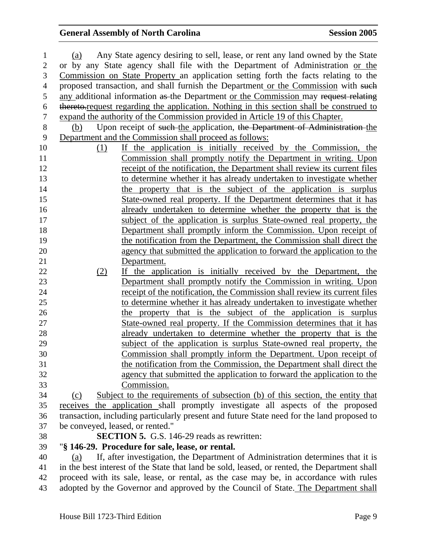| $\mathbf{1}$   | Any State agency desiring to sell, lease, or rent any land owned by the State<br>(a)         |
|----------------|----------------------------------------------------------------------------------------------|
| $\overline{2}$ | or by any State agency shall file with the Department of Administration or the               |
| 3              | Commission on State Property an application setting forth the facts relating to the          |
| $\overline{4}$ | proposed transaction, and shall furnish the Department or the Commission with such           |
| 5              | any additional information as the Department or the Commission may request relating          |
| 6              | thereto-request regarding the application. Nothing in this section shall be construed to     |
| $\overline{7}$ | expand the authority of the Commission provided in Article 19 of this Chapter.               |
| $8\,$          | Upon receipt of such the application, the Department of Administration the<br>(b)            |
| 9              | Department and the Commission shall proceed as follows:                                      |
| 10             | If the application is initially received by the Commission, the<br>(1)                       |
| 11             | <u>Commission shall promptly notify the Department in writing. Upon</u>                      |
| 12             | receipt of the notification, the Department shall review its current files                   |
| 13             | to determine whether it has already undertaken to investigate whether                        |
| 14             | the property that is the subject of the application is surplus                               |
| 15             | State-owned real property. If the Department determines that it has                          |
| 16             | already undertaken to determine whether the property that is the                             |
| 17             | subject of the application is surplus State-owned real property, the                         |
| 18             | Department shall promptly inform the Commission. Upon receipt of                             |
| 19             | the notification from the Department, the Commission shall direct the                        |
| 20             | agency that submitted the application to forward the application to the                      |
| 21             | Department.                                                                                  |
| 22             | If the application is initially received by the Department, the<br>(2)                       |
| 23             | Department shall promptly notify the Commission in writing. Upon                             |
| 24             | receipt of the notification, the Commission shall review its current files                   |
| 25             | to determine whether it has already undertaken to investigate whether                        |
| 26             | the property that is the subject of the application is surplus                               |
| 27             | State-owned real property. If the Commission determines that it has                          |
| 28             | already undertaken to determine whether the property that is the                             |
| 29             | subject of the application is surplus State-owned real property, the                         |
| 30             | Commission shall promptly inform the Department. Upon receipt of                             |
| 31             | the notification from the Commission, the Department shall direct the                        |
| 32             | agency that submitted the application to forward the application to the                      |
| 33             | Commission.                                                                                  |
| 34             | Subject to the requirements of subsection (b) of this section, the entity that<br>(c)        |
| 35             | receives the application shall promptly investigate all aspects of the proposed              |
| 36             | transaction, including particularly present and future State need for the land proposed to   |
| 37             | be conveyed, leased, or rented."                                                             |
| 38             | <b>SECTION 5.</b> G.S. 146-29 reads as rewritten:                                            |
| 39             | "§ 146-29. Procedure for sale, lease, or rental.                                             |
| 40             | If, after investigation, the Department of Administration determines that it is<br>(a)       |
| 41             | in the best interest of the State that land be sold, leased, or rented, the Department shall |
| 42             | proceed with its sale, lease, or rental, as the case may be, in accordance with rules        |

43 adopted by the Governor and approved by the Council of State. The Department shall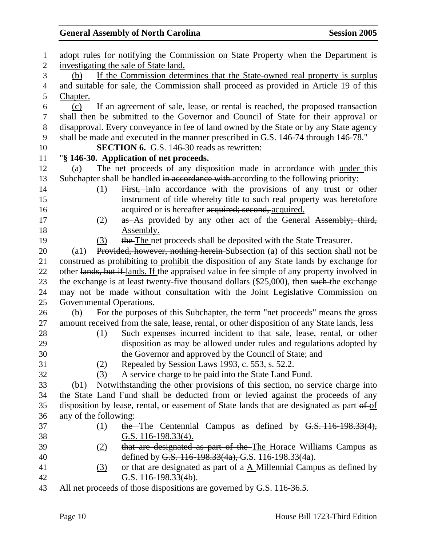| $\mathbf{1}$   | adopt rules for notifying the Commission on State Property when the Department is                   |
|----------------|-----------------------------------------------------------------------------------------------------|
| $\mathbf{2}$   | investigating the sale of State land.                                                               |
| 3              | If the Commission determines that the State-owned real property is surplus<br>(b)                   |
| $\overline{4}$ | and suitable for sale, the Commission shall proceed as provided in Article 19 of this               |
| 5              | Chapter.                                                                                            |
| 6              | If an agreement of sale, lease, or rental is reached, the proposed transaction<br>(c)               |
| $\tau$         | shall then be submitted to the Governor and Council of State for their approval or                  |
| $8\,$          | disapproval. Every conveyance in fee of land owned by the State or by any State agency              |
| 9              | shall be made and executed in the manner prescribed in G.S. 146-74 through 146-78."                 |
| 10             | <b>SECTION 6.</b> G.S. 146-30 reads as rewritten:                                                   |
| 11             | "§ 146-30. Application of net proceeds.                                                             |
| 12             | The net proceeds of any disposition made in accordance with under this<br>(a)                       |
| 13             | Subchapter shall be handled in accordance with according to the following priority:                 |
| 14             | First, inIn accordance with the provisions of any trust or other<br>(1)                             |
| 15             | instrument of title whereby title to such real property was heretofore                              |
| 16             | acquired or is hereafter acquired; second, acquired.                                                |
| 17             | as As provided by any other act of the General Assembly; third,<br><u>(2)</u>                       |
| 18             | Assembly.                                                                                           |
| 19             | the The net proceeds shall be deposited with the State Treasurer.<br>(3)                            |
| 20             | Provided, however, nothing herein-Subsection (a) of this section shall not be<br>$\left( a1\right)$ |
| 21             | construed as prohibiting to prohibit the disposition of any State lands by exchange for             |
| 22             | other lands, but if lands. If the appraised value in fee simple of any property involved in         |
| 23             | the exchange is at least twenty-five thousand dollars (\$25,000), then such the exchange            |
| 24             | may not be made without consultation with the Joint Legislative Commission on                       |
| 25             | Governmental Operations.                                                                            |
| 26             | For the purposes of this Subchapter, the term "net proceeds" means the gross<br>(b)                 |
| 27             | amount received from the sale, lease, rental, or other disposition of any State lands, less         |
| 28             | Such expenses incurred incident to that sale, lease, rental, or other<br>(1)                        |
| 29             | disposition as may be allowed under rules and regulations adopted by                                |
| 30             | the Governor and approved by the Council of State; and                                              |
| 31             | Repealed by Session Laws 1993, c. 553, s. 52.2.<br>(2)                                              |
| 32             | A service charge to be paid into the State Land Fund.<br>(3)                                        |
| 33             | Notwithstanding the other provisions of this section, no service charge into<br>(b1)                |
| 34             | the State Land Fund shall be deducted from or levied against the proceeds of any                    |
| 35             | disposition by lease, rental, or easement of State lands that are designated as part of of          |
| 36             | any of the following:                                                                               |
| 37             | the The Centennial Campus as defined by $G.S. 116-198.33(4)$ ,<br>$\Omega$                          |
| 38             | G.S. $116-198.33(4)$ .                                                                              |
| 39             | that are designated as part of the The Horace Williams Campus as<br><u>(2)</u>                      |
| 40             | defined by G.S. 116-198.33(4a), G.S. 116-198.33(4a).                                                |
| 41             | or that are designated as part of $a \Delta$ Millennial Campus as defined by<br>(3)                 |
| 42             | G.S. 116-198.33(4b).                                                                                |

43 All net proceeds of those dispositions are governed by G.S. 116-36.5.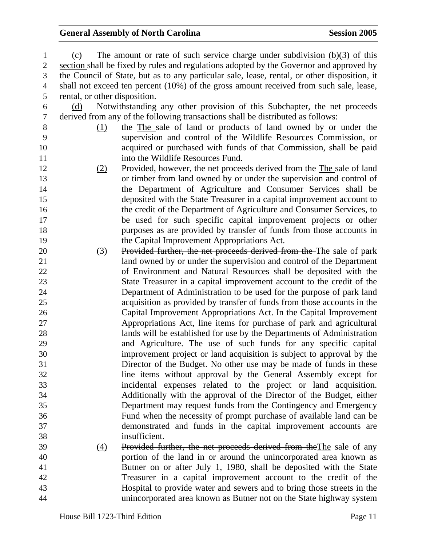| $\mathbf{1}$   | (c)                           | The amount or rate of such service charge under subdivision $(b)(3)$ of this                 |
|----------------|-------------------------------|----------------------------------------------------------------------------------------------|
| $\overline{c}$ |                               | section shall be fixed by rules and regulations adopted by the Governor and approved by      |
| 3              |                               | the Council of State, but as to any particular sale, lease, rental, or other disposition, it |
| 4              |                               | shall not exceed ten percent (10%) of the gross amount received from such sale, lease,       |
| 5              | rental, or other disposition. |                                                                                              |
| 6              | (d)                           | Notwithstanding any other provision of this Subchapter, the net proceeds                     |
| 7              |                               | derived from any of the following transactions shall be distributed as follows:              |
| 8              | (1)                           | the The sale of land or products of land owned by or under the                               |
| 9              |                               | supervision and control of the Wildlife Resources Commission, or                             |
| 10             |                               | acquired or purchased with funds of that Commission, shall be paid                           |
| 11             |                               | into the Wildlife Resources Fund.                                                            |
| 12             | (2)                           | Provided, however, the net proceeds derived from the The sale of land                        |
| 13             |                               | or timber from land owned by or under the supervision and control of                         |
| 14             |                               | the Department of Agriculture and Consumer Services shall be                                 |
| 15             |                               | deposited with the State Treasurer in a capital improvement account to                       |
| 16             |                               | the credit of the Department of Agriculture and Consumer Services, to                        |
| 17             |                               | be used for such specific capital improvement projects or other                              |
| 18             |                               | purposes as are provided by transfer of funds from those accounts in                         |
| 19             |                               | the Capital Improvement Appropriations Act.                                                  |
| 20             | (3)                           | Provided further, the net proceeds derived from the The sale of park                         |
| 21             |                               | land owned by or under the supervision and control of the Department                         |
| 22             |                               | of Environment and Natural Resources shall be deposited with the                             |
| 23             |                               | State Treasurer in a capital improvement account to the credit of the                        |
| 24             |                               | Department of Administration to be used for the purpose of park land                         |
| 25             |                               | acquisition as provided by transfer of funds from those accounts in the                      |
| 26             |                               | Capital Improvement Appropriations Act. In the Capital Improvement                           |
| 27             |                               | Appropriations Act, line items for purchase of park and agricultural                         |
| 28             |                               | lands will be established for use by the Departments of Administration                       |
| 29             |                               | and Agriculture. The use of such funds for any specific capital                              |
| 30             |                               | improvement project or land acquisition is subject to approval by the                        |
| 31             |                               | Director of the Budget. No other use may be made of funds in these                           |
| 32             |                               | line items without approval by the General Assembly except for                               |
| 33             |                               | incidental expenses related to the project or land acquisition.                              |
| 34             |                               | Additionally with the approval of the Director of the Budget, either                         |
| 35             |                               | Department may request funds from the Contingency and Emergency                              |
| 36             |                               | Fund when the necessity of prompt purchase of available land can be                          |
| 37             |                               | demonstrated and funds in the capital improvement accounts are                               |
| 38             |                               | insufficient.                                                                                |
| 39             | $\underline{(4)}$             | Provided further, the net proceeds derived from the The sale of any                          |
| 40             |                               | portion of the land in or around the unincorporated area known as                            |
| 41             |                               | Butner on or after July 1, 1980, shall be deposited with the State                           |
| 42             |                               | Treasurer in a capital improvement account to the credit of the                              |
| 43             |                               | Hospital to provide water and sewers and to bring those streets in the                       |
| 44             |                               | unincorporated area known as Butner not on the State highway system                          |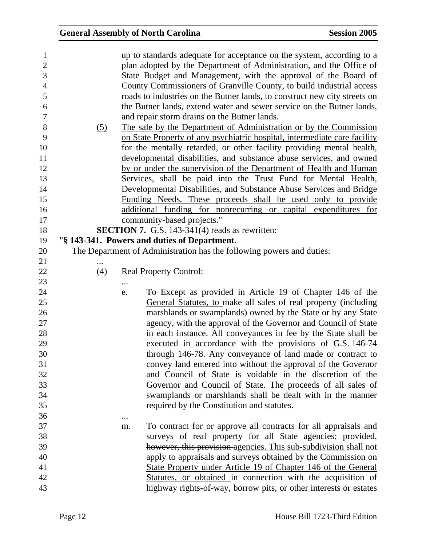| 1              |            |          | up to standards adequate for acceptance on the system, according to a     |
|----------------|------------|----------|---------------------------------------------------------------------------|
| $\overline{2}$ |            |          | plan adopted by the Department of Administration, and the Office of       |
| 3              |            |          | State Budget and Management, with the approval of the Board of            |
| $\overline{4}$ |            |          | County Commissioners of Granville County, to build industrial access      |
| 5              |            |          | roads to industries on the Butner lands, to construct new city streets on |
| 6              |            |          | the Butner lands, extend water and sewer service on the Butner lands,     |
| $\tau$         |            |          | and repair storm drains on the Butner lands.                              |
| $8\,$          | <u>(5)</u> |          | The sale by the Department of Administration or by the Commission         |
| 9              |            |          | on State Property of any psychiatric hospital, intermediate care facility |
| 10             |            |          | for the mentally retarded, or other facility providing mental health,     |
| 11             |            |          | developmental disabilities, and substance abuse services, and owned       |
| 12             |            |          | by or under the supervision of the Department of Health and Human         |
| 13             |            |          | Services, shall be paid into the Trust Fund for Mental Health,            |
| 14             |            |          | Developmental Disabilities, and Substance Abuse Services and Bridge       |
| 15             |            |          | Funding Needs. These proceeds shall be used only to provide               |
| 16             |            |          | additional funding for nonrecurring or capital expenditures for           |
| 17             |            |          | community-based projects."                                                |
| 18             |            |          | <b>SECTION 7.</b> G.S. 143-341(4) reads as rewritten:                     |
| 19             |            |          | "§ 143-341. Powers and duties of Department.                              |
| 20             |            |          | The Department of Administration has the following powers and duties:     |
| 21             |            |          |                                                                           |
| 22             | (4)        |          | <b>Real Property Control:</b>                                             |
| 23             |            | $\cdots$ |                                                                           |
| 24             |            | e.       | <b>To-Except as provided in Article 19 of Chapter 146 of the</b>          |
| 25             |            |          | General Statutes, to make all sales of real property (including           |
| 26             |            |          | marshlands or swamplands) owned by the State or by any State              |
| 27             |            |          | agency, with the approval of the Governor and Council of State            |
| 28             |            |          | in each instance. All conveyances in fee by the State shall be            |
| 29             |            |          | executed in accordance with the provisions of G.S. 146-74                 |
| 30             |            |          | through 146-78. Any conveyance of land made or contract to                |
| 31             |            |          | convey land entered into without the approval of the Governor             |
| 32             |            |          | and Council of State is voidable in the discretion of the                 |
| 33             |            |          | Governor and Council of State. The proceeds of all sales of               |
| 34             |            |          | swamplands or marshlands shall be dealt with in the manner                |
| 35             |            |          | required by the Constitution and statutes.                                |
| 36             |            |          |                                                                           |
| 37             |            | m.       | To contract for or approve all contracts for all appraisals and           |
| 38             |            |          | surveys of real property for all State agencies; provided,                |
| 39             |            |          | however, this provision-agencies. This sub-subdivision shall not          |
| 40             |            |          | apply to appraisals and surveys obtained by the Commission on             |
| 41             |            |          | State Property under Article 19 of Chapter 146 of the General             |
| 42             |            |          | Statutes, or obtained in connection with the acquisition of               |
|                |            |          |                                                                           |